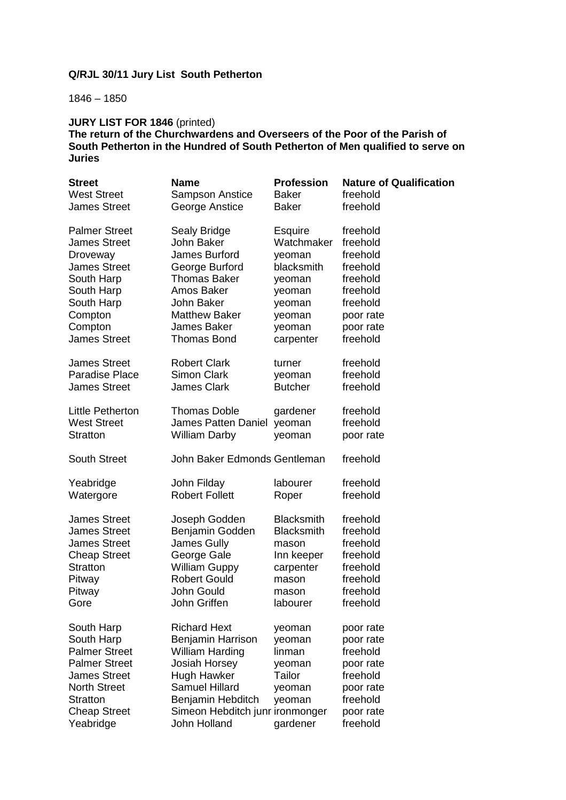# **Q/RJL 30/11 Jury List South Petherton**

1846 – 1850

#### **JURY LIST FOR 1846** (printed) The return of the Churchwardens and Overseers of the Poor of the Parish of **South Petherton in the Hundred of South Petherton of Men qualified to serve on Juries**

| <b>Street</b>                                                                                                                                                                 | <b>Name</b>                                                                                                                                                                                                | <b>Profession</b>                                                              | <b>Nature of Qualification</b>                                                                                |
|-------------------------------------------------------------------------------------------------------------------------------------------------------------------------------|------------------------------------------------------------------------------------------------------------------------------------------------------------------------------------------------------------|--------------------------------------------------------------------------------|---------------------------------------------------------------------------------------------------------------|
| <b>West Street</b>                                                                                                                                                            | Sampson Anstice                                                                                                                                                                                            | <b>Baker</b>                                                                   | freehold                                                                                                      |
| <b>James Street</b>                                                                                                                                                           | George Anstice                                                                                                                                                                                             | Baker                                                                          | freehold                                                                                                      |
| <b>Palmer Street</b>                                                                                                                                                          | Sealy Bridge                                                                                                                                                                                               | <b>Esquire</b>                                                                 | freehold                                                                                                      |
| <b>James Street</b>                                                                                                                                                           | John Baker                                                                                                                                                                                                 | Watchmaker                                                                     | freehold                                                                                                      |
| Droveway                                                                                                                                                                      | James Burford                                                                                                                                                                                              | yeoman                                                                         | freehold                                                                                                      |
| <b>James Street</b>                                                                                                                                                           | George Burford                                                                                                                                                                                             | blacksmith                                                                     | freehold                                                                                                      |
| South Harp                                                                                                                                                                    | <b>Thomas Baker</b>                                                                                                                                                                                        | yeoman                                                                         | freehold                                                                                                      |
| South Harp                                                                                                                                                                    | Amos Baker                                                                                                                                                                                                 | yeoman                                                                         | freehold                                                                                                      |
| South Harp                                                                                                                                                                    | John Baker                                                                                                                                                                                                 | yeoman                                                                         | freehold                                                                                                      |
| Compton                                                                                                                                                                       | <b>Matthew Baker</b>                                                                                                                                                                                       | yeoman                                                                         | poor rate                                                                                                     |
| Compton                                                                                                                                                                       | <b>James Baker</b>                                                                                                                                                                                         | yeoman                                                                         | poor rate                                                                                                     |
| <b>James Street</b>                                                                                                                                                           | <b>Thomas Bond</b>                                                                                                                                                                                         | carpenter                                                                      | freehold                                                                                                      |
| <b>James Street</b>                                                                                                                                                           | <b>Robert Clark</b>                                                                                                                                                                                        | turner                                                                         | freehold                                                                                                      |
| <b>Paradise Place</b>                                                                                                                                                         | <b>Simon Clark</b>                                                                                                                                                                                         | yeoman                                                                         | freehold                                                                                                      |
| <b>James Street</b>                                                                                                                                                           | <b>James Clark</b>                                                                                                                                                                                         | <b>Butcher</b>                                                                 | freehold                                                                                                      |
| Little Petherton                                                                                                                                                              | <b>Thomas Doble</b>                                                                                                                                                                                        | gardener                                                                       | freehold                                                                                                      |
| <b>West Street</b>                                                                                                                                                            | <b>James Patten Daniel</b>                                                                                                                                                                                 | yeoman                                                                         | freehold                                                                                                      |
| <b>Stratton</b>                                                                                                                                                               | <b>William Darby</b>                                                                                                                                                                                       | yeoman                                                                         | poor rate                                                                                                     |
| <b>South Street</b>                                                                                                                                                           | John Baker Edmonds Gentleman                                                                                                                                                                               |                                                                                | freehold                                                                                                      |
| Yeabridge                                                                                                                                                                     | John Filday                                                                                                                                                                                                | labourer                                                                       | freehold                                                                                                      |
| Watergore                                                                                                                                                                     | <b>Robert Follett</b>                                                                                                                                                                                      | Roper                                                                          | freehold                                                                                                      |
| <b>James Street</b>                                                                                                                                                           | Joseph Godden                                                                                                                                                                                              | <b>Blacksmith</b>                                                              | freehold                                                                                                      |
| <b>James Street</b>                                                                                                                                                           | Benjamin Godden                                                                                                                                                                                            | <b>Blacksmith</b>                                                              | freehold                                                                                                      |
| <b>James Street</b>                                                                                                                                                           | James Gully                                                                                                                                                                                                | mason                                                                          | freehold                                                                                                      |
| <b>Cheap Street</b>                                                                                                                                                           | George Gale                                                                                                                                                                                                | Inn keeper                                                                     | freehold                                                                                                      |
| <b>Stratton</b>                                                                                                                                                               | <b>William Guppy</b>                                                                                                                                                                                       | carpenter                                                                      | freehold                                                                                                      |
| Pitway                                                                                                                                                                        | <b>Robert Gould</b>                                                                                                                                                                                        | mason                                                                          | freehold                                                                                                      |
| Pitway                                                                                                                                                                        | John Gould                                                                                                                                                                                                 | mason                                                                          | freehold                                                                                                      |
| Gore                                                                                                                                                                          | John Griffen                                                                                                                                                                                               | labourer                                                                       | freehold                                                                                                      |
| South Harp<br>South Harp<br><b>Palmer Street</b><br><b>Palmer Street</b><br><b>James Street</b><br><b>North Street</b><br><b>Stratton</b><br><b>Cheap Street</b><br>Yeabridge | <b>Richard Hext</b><br><b>Benjamin Harrison</b><br><b>William Harding</b><br>Josiah Horsey<br>Hugh Hawker<br><b>Samuel Hillard</b><br>Benjamin Hebditch<br>Simeon Hebditch junr ironmonger<br>John Holland | yeoman<br>yeoman<br>linman<br>yeoman<br>Tailor<br>yeoman<br>yeoman<br>gardener | poor rate<br>poor rate<br>freehold<br>poor rate<br>freehold<br>poor rate<br>freehold<br>poor rate<br>freehold |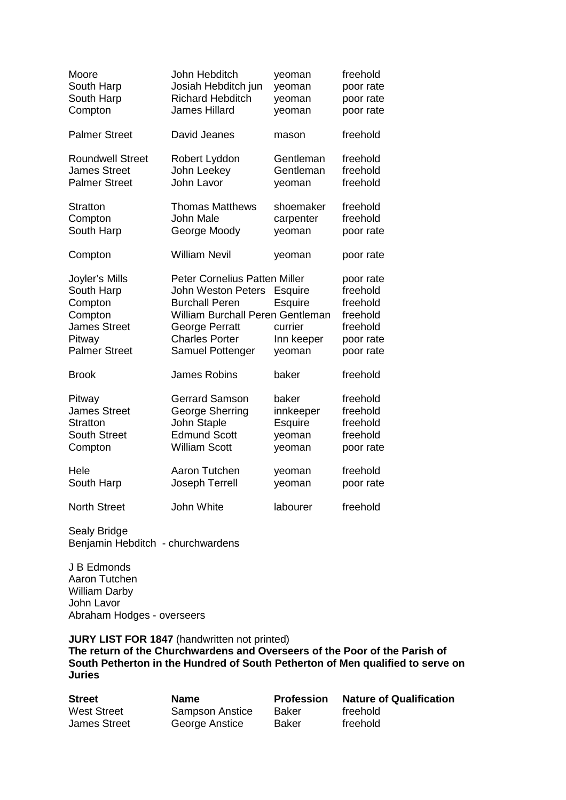| Moore                                                                                                       | John Hebditch                                                                                                                                                                          | yeoman                                                | freehold                                                                            |
|-------------------------------------------------------------------------------------------------------------|----------------------------------------------------------------------------------------------------------------------------------------------------------------------------------------|-------------------------------------------------------|-------------------------------------------------------------------------------------|
| South Harp                                                                                                  | Josiah Hebditch jun                                                                                                                                                                    | yeoman                                                | poor rate                                                                           |
| South Harp                                                                                                  | <b>Richard Hebditch</b>                                                                                                                                                                | yeoman                                                | poor rate                                                                           |
| Compton                                                                                                     | <b>James Hillard</b>                                                                                                                                                                   | yeoman                                                | poor rate                                                                           |
| <b>Palmer Street</b>                                                                                        | David Jeanes                                                                                                                                                                           | mason                                                 | freehold                                                                            |
| <b>Roundwell Street</b>                                                                                     | Robert Lyddon                                                                                                                                                                          | Gentleman                                             | freehold                                                                            |
| <b>James Street</b>                                                                                         | John Leekey                                                                                                                                                                            | Gentleman                                             | freehold                                                                            |
| <b>Palmer Street</b>                                                                                        | John Lavor                                                                                                                                                                             | yeoman                                                | freehold                                                                            |
| Stratton                                                                                                    | <b>Thomas Matthews</b>                                                                                                                                                                 | shoemaker                                             | freehold                                                                            |
| Compton                                                                                                     | <b>John Male</b>                                                                                                                                                                       | carpenter                                             | freehold                                                                            |
| South Harp                                                                                                  | George Moody                                                                                                                                                                           | yeoman                                                | poor rate                                                                           |
| Compton                                                                                                     | <b>William Nevil</b>                                                                                                                                                                   | yeoman                                                | poor rate                                                                           |
| Joyler's Mills<br>South Harp<br>Compton<br>Compton<br><b>James Street</b><br>Pitway<br><b>Palmer Street</b> | <b>Peter Cornelius Patten Miller</b><br>John Weston Peters<br><b>Burchall Peren</b><br>William Burchall Peren Gentleman<br>George Perratt<br><b>Charles Porter</b><br>Samuel Pottenger | Esquire<br>Esquire<br>currier<br>Inn keeper<br>yeoman | poor rate<br>freehold<br>freehold<br>freehold<br>freehold<br>poor rate<br>poor rate |
| <b>Brook</b>                                                                                                | James Robins                                                                                                                                                                           | baker                                                 | freehold                                                                            |
| Pitway                                                                                                      | <b>Gerrard Samson</b>                                                                                                                                                                  | baker                                                 | freehold                                                                            |
| <b>James Street</b>                                                                                         | George Sherring                                                                                                                                                                        | innkeeper                                             | freehold                                                                            |
| <b>Stratton</b>                                                                                             | John Staple                                                                                                                                                                            | Esquire                                               | freehold                                                                            |
| <b>South Street</b>                                                                                         | <b>Edmund Scott</b>                                                                                                                                                                    | yeoman                                                | freehold                                                                            |
| Compton                                                                                                     | <b>William Scott</b>                                                                                                                                                                   | yeoman                                                | poor rate                                                                           |
| Hele                                                                                                        | Aaron Tutchen                                                                                                                                                                          | yeoman                                                | freehold                                                                            |
| South Harp                                                                                                  | <b>Joseph Terrell</b>                                                                                                                                                                  | yeoman                                                | poor rate                                                                           |
| <b>North Street</b>                                                                                         | <b>John White</b>                                                                                                                                                                      | labourer                                              | freehold                                                                            |

Sealy Bridge Benjamin Hebditch - churchwardens

J B Edmonds Aaron Tutchen William Darby John Lavor Abraham Hodges - overseers

**JURY LIST FOR 1847** (handwritten not printed) **The return of the Churchwardens and Overseers of the Poor of the Parish of South Petherton in the Hundred of South Petherton of Men qualified to serve on Juries** 

| <b>Street</b>       | <b>Name</b>            | <b>Profession</b> | <b>Nature of Qualification</b> |
|---------------------|------------------------|-------------------|--------------------------------|
| West Street         | <b>Sampson Anstice</b> | Baker             | freehold                       |
| <b>James Street</b> | George Anstice         | Baker             | freehold                       |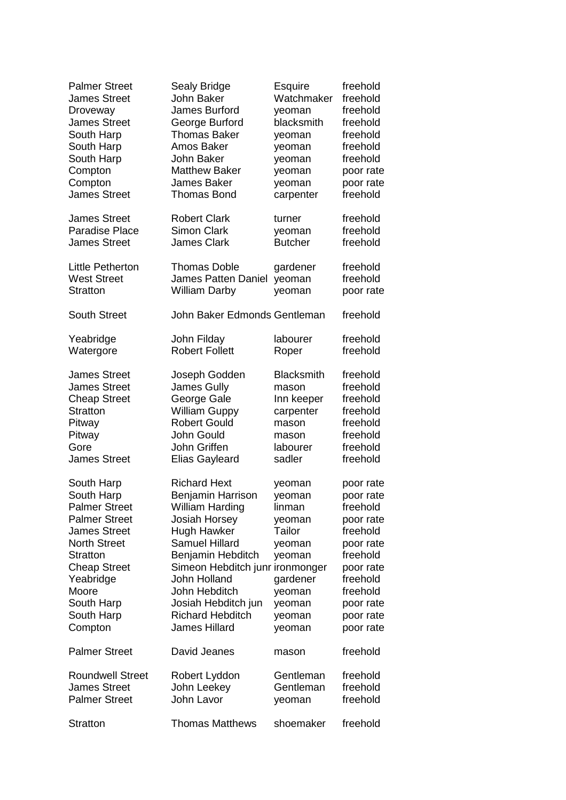| <b>Palmer Street</b>                                                                                                                                                                                                   | Sealy Bridge                                                                                                                                                                                                                                                                     | Esquire                                                                                                                | freehold                                                                                                                                                         |
|------------------------------------------------------------------------------------------------------------------------------------------------------------------------------------------------------------------------|----------------------------------------------------------------------------------------------------------------------------------------------------------------------------------------------------------------------------------------------------------------------------------|------------------------------------------------------------------------------------------------------------------------|------------------------------------------------------------------------------------------------------------------------------------------------------------------|
| <b>James Street</b>                                                                                                                                                                                                    | <b>John Baker</b>                                                                                                                                                                                                                                                                | Watchmaker                                                                                                             | freehold                                                                                                                                                         |
| Droveway                                                                                                                                                                                                               | James Burford                                                                                                                                                                                                                                                                    | yeoman                                                                                                                 | freehold                                                                                                                                                         |
| <b>James Street</b>                                                                                                                                                                                                    | George Burford                                                                                                                                                                                                                                                                   | blacksmith                                                                                                             | freehold                                                                                                                                                         |
| South Harp                                                                                                                                                                                                             | <b>Thomas Baker</b>                                                                                                                                                                                                                                                              | yeoman                                                                                                                 | freehold                                                                                                                                                         |
| South Harp                                                                                                                                                                                                             | Amos Baker                                                                                                                                                                                                                                                                       | yeoman                                                                                                                 | freehold                                                                                                                                                         |
| South Harp                                                                                                                                                                                                             | John Baker                                                                                                                                                                                                                                                                       | yeoman                                                                                                                 | freehold                                                                                                                                                         |
| Compton                                                                                                                                                                                                                | <b>Matthew Baker</b>                                                                                                                                                                                                                                                             | yeoman                                                                                                                 | poor rate                                                                                                                                                        |
| Compton                                                                                                                                                                                                                | <b>James Baker</b>                                                                                                                                                                                                                                                               | yeoman                                                                                                                 | poor rate                                                                                                                                                        |
| <b>James Street</b>                                                                                                                                                                                                    | <b>Thomas Bond</b>                                                                                                                                                                                                                                                               | carpenter                                                                                                              | freehold                                                                                                                                                         |
| <b>James Street</b>                                                                                                                                                                                                    | <b>Robert Clark</b>                                                                                                                                                                                                                                                              | turner                                                                                                                 | freehold                                                                                                                                                         |
| <b>Paradise Place</b>                                                                                                                                                                                                  | <b>Simon Clark</b>                                                                                                                                                                                                                                                               | yeoman                                                                                                                 | freehold                                                                                                                                                         |
| <b>James Street</b>                                                                                                                                                                                                    | <b>James Clark</b>                                                                                                                                                                                                                                                               | <b>Butcher</b>                                                                                                         | freehold                                                                                                                                                         |
| Little Petherton                                                                                                                                                                                                       | Thomas Doble                                                                                                                                                                                                                                                                     | gardener                                                                                                               | freehold                                                                                                                                                         |
| <b>West Street</b>                                                                                                                                                                                                     | <b>James Patten Daniel</b>                                                                                                                                                                                                                                                       | yeoman                                                                                                                 | freehold                                                                                                                                                         |
| <b>Stratton</b>                                                                                                                                                                                                        | <b>William Darby</b>                                                                                                                                                                                                                                                             | yeoman                                                                                                                 | poor rate                                                                                                                                                        |
| <b>South Street</b>                                                                                                                                                                                                    | John Baker Edmonds Gentleman                                                                                                                                                                                                                                                     |                                                                                                                        | freehold                                                                                                                                                         |
| Yeabridge                                                                                                                                                                                                              | John Filday                                                                                                                                                                                                                                                                      | labourer                                                                                                               | freehold                                                                                                                                                         |
| Watergore                                                                                                                                                                                                              | <b>Robert Follett</b>                                                                                                                                                                                                                                                            | Roper                                                                                                                  | freehold                                                                                                                                                         |
| <b>James Street</b>                                                                                                                                                                                                    | Joseph Godden                                                                                                                                                                                                                                                                    | <b>Blacksmith</b>                                                                                                      | freehold                                                                                                                                                         |
| <b>James Street</b>                                                                                                                                                                                                    | <b>James Gully</b>                                                                                                                                                                                                                                                               | mason                                                                                                                  | freehold                                                                                                                                                         |
| <b>Cheap Street</b>                                                                                                                                                                                                    | George Gale                                                                                                                                                                                                                                                                      | Inn keeper                                                                                                             | freehold                                                                                                                                                         |
| <b>Stratton</b>                                                                                                                                                                                                        | <b>William Guppy</b>                                                                                                                                                                                                                                                             | carpenter                                                                                                              | freehold                                                                                                                                                         |
| Pitway                                                                                                                                                                                                                 | <b>Robert Gould</b>                                                                                                                                                                                                                                                              | mason                                                                                                                  | freehold                                                                                                                                                         |
| Pitway                                                                                                                                                                                                                 | John Gould                                                                                                                                                                                                                                                                       | mason                                                                                                                  | freehold                                                                                                                                                         |
| Gore                                                                                                                                                                                                                   | John Griffen                                                                                                                                                                                                                                                                     | labourer                                                                                                               | freehold                                                                                                                                                         |
| <b>James Street</b>                                                                                                                                                                                                    | <b>Elias Gayleard</b>                                                                                                                                                                                                                                                            | sadler                                                                                                                 | freehold                                                                                                                                                         |
| South Harp<br>South Harp<br>Palmer Street<br><b>Palmer Street</b><br><b>James Street</b><br><b>North Street</b><br><b>Stratton</b><br><b>Cheap Street</b><br>Yeabridge<br>Moore<br>South Harp<br>South Harp<br>Compton | <b>Richard Hext</b><br>Benjamin Harrison<br>William Harding<br>Josiah Horsey<br>Hugh Hawker<br><b>Samuel Hillard</b><br>Benjamin Hebditch<br>Simeon Hebditch junr ironmonger<br>John Holland<br>John Hebditch<br>Josiah Hebditch jun<br><b>Richard Hebditch</b><br>James Hillard | yeoman<br>yeoman<br>linman<br>yeoman<br>Tailor<br>yeoman<br>yeoman<br>gardener<br>yeoman<br>yeoman<br>yeoman<br>yeoman | poor rate<br>poor rate<br>freehold<br>poor rate<br>freehold<br>poor rate<br>freehold<br>poor rate<br>freehold<br>freehold<br>poor rate<br>poor rate<br>poor rate |
| <b>Palmer Street</b>                                                                                                                                                                                                   | David Jeanes                                                                                                                                                                                                                                                                     | mason                                                                                                                  | freehold                                                                                                                                                         |
| <b>Roundwell Street</b>                                                                                                                                                                                                | Robert Lyddon                                                                                                                                                                                                                                                                    | Gentleman                                                                                                              | freehold                                                                                                                                                         |
| <b>James Street</b>                                                                                                                                                                                                    | John Leekey                                                                                                                                                                                                                                                                      | Gentleman                                                                                                              | freehold                                                                                                                                                         |
| <b>Palmer Street</b>                                                                                                                                                                                                   | John Lavor                                                                                                                                                                                                                                                                       | yeoman                                                                                                                 | freehold                                                                                                                                                         |
| <b>Stratton</b>                                                                                                                                                                                                        | <b>Thomas Matthews</b>                                                                                                                                                                                                                                                           | shoemaker                                                                                                              | freehold                                                                                                                                                         |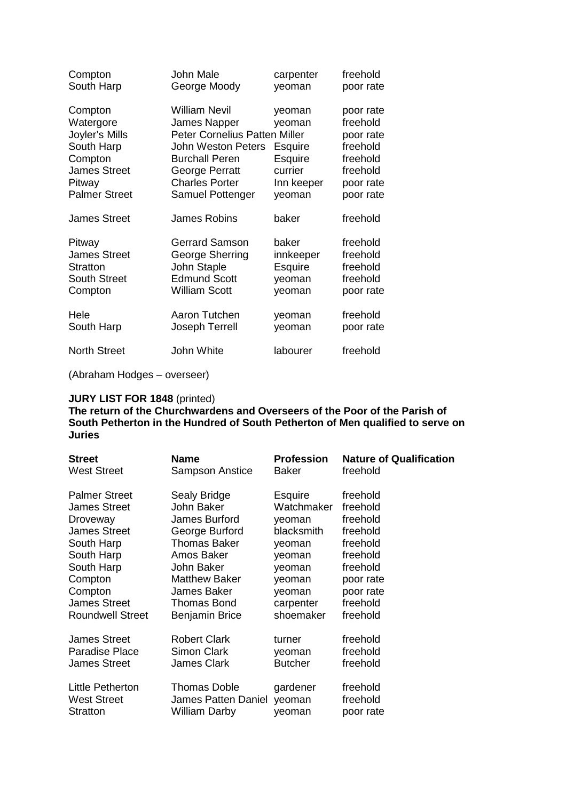| Compton                                                                                                                  | John Male                                                                                                                                                                                         | carpenter                                                                 | freehold                                                                                         |
|--------------------------------------------------------------------------------------------------------------------------|---------------------------------------------------------------------------------------------------------------------------------------------------------------------------------------------------|---------------------------------------------------------------------------|--------------------------------------------------------------------------------------------------|
| South Harp                                                                                                               | George Moody                                                                                                                                                                                      | yeoman                                                                    | poor rate                                                                                        |
| Compton<br>Watergore<br>Joyler's Mills<br>South Harp<br>Compton<br><b>James Street</b><br>Pitway<br><b>Palmer Street</b> | <b>William Nevil</b><br>James Napper<br><b>Peter Cornelius Patten Miller</b><br><b>John Weston Peters</b><br><b>Burchall Peren</b><br>George Perratt<br><b>Charles Porter</b><br>Samuel Pottenger | yeoman<br>yeoman<br>Esquire<br>Esquire<br>currier<br>Inn keeper<br>yeoman | poor rate<br>freehold<br>poor rate<br>freehold<br>freehold<br>freehold<br>poor rate<br>poor rate |
| <b>James Street</b>                                                                                                      | <b>James Robins</b>                                                                                                                                                                               | baker                                                                     | freehold                                                                                         |
| Pitway                                                                                                                   | <b>Gerrard Samson</b>                                                                                                                                                                             | baker                                                                     | freehold                                                                                         |
| <b>James Street</b>                                                                                                      | George Sherring                                                                                                                                                                                   | innkeeper                                                                 | freehold                                                                                         |
| <b>Stratton</b>                                                                                                          | John Staple                                                                                                                                                                                       | Esquire                                                                   | freehold                                                                                         |
| <b>South Street</b>                                                                                                      | <b>Edmund Scott</b>                                                                                                                                                                               | yeoman                                                                    | freehold                                                                                         |
| Compton                                                                                                                  | <b>William Scott</b>                                                                                                                                                                              | yeoman                                                                    | poor rate                                                                                        |
| Hele                                                                                                                     | Aaron Tutchen                                                                                                                                                                                     | yeoman                                                                    | freehold                                                                                         |
| South Harp                                                                                                               | Joseph Terrell                                                                                                                                                                                    | yeoman                                                                    | poor rate                                                                                        |
| <b>North Street</b>                                                                                                      | John White                                                                                                                                                                                        | labourer                                                                  | freehold                                                                                         |

(Abraham Hodges – overseer)

#### **JURY LIST FOR 1848** (printed)

**The return of the Churchwardens and Overseers of the Poor of the Parish of South Petherton in the Hundred of South Petherton of Men qualified to serve on Juries** 

| <b>Street</b>           | <b>Name</b>           | <b>Profession</b> | <b>Nature of Qualification</b> |
|-------------------------|-----------------------|-------------------|--------------------------------|
| <b>West Street</b>      | Sampson Anstice       | Baker             | freehold                       |
| <b>Palmer Street</b>    | Sealy Bridge          | <b>Esquire</b>    | freehold                       |
| <b>James Street</b>     | John Baker            | Watchmaker        | freehold                       |
| Droveway                | James Burford         | yeoman            | freehold                       |
| <b>James Street</b>     | George Burford        | blacksmith        | freehold                       |
| South Harp              | <b>Thomas Baker</b>   | yeoman            | freehold                       |
| South Harp              | Amos Baker            | yeoman            | freehold                       |
| South Harp              | John Baker            | yeoman            | freehold                       |
| Compton                 | <b>Matthew Baker</b>  | yeoman            | poor rate                      |
| Compton                 | <b>James Baker</b>    | yeoman            | poor rate                      |
| <b>James Street</b>     | <b>Thomas Bond</b>    | carpenter         | freehold                       |
| <b>Roundwell Street</b> | <b>Benjamin Brice</b> | shoemaker         | freehold                       |
| <b>James Street</b>     | <b>Robert Clark</b>   | turner            | freehold                       |
| Paradise Place          | <b>Simon Clark</b>    | yeoman            | freehold                       |
| <b>James Street</b>     | <b>James Clark</b>    | <b>Butcher</b>    | freehold                       |
| <b>Little Petherton</b> | <b>Thomas Doble</b>   | gardener          | freehold                       |
| <b>West Street</b>      | James Patten Daniel   | yeoman            | freehold                       |
| <b>Stratton</b>         | <b>William Darby</b>  | yeoman            | poor rate                      |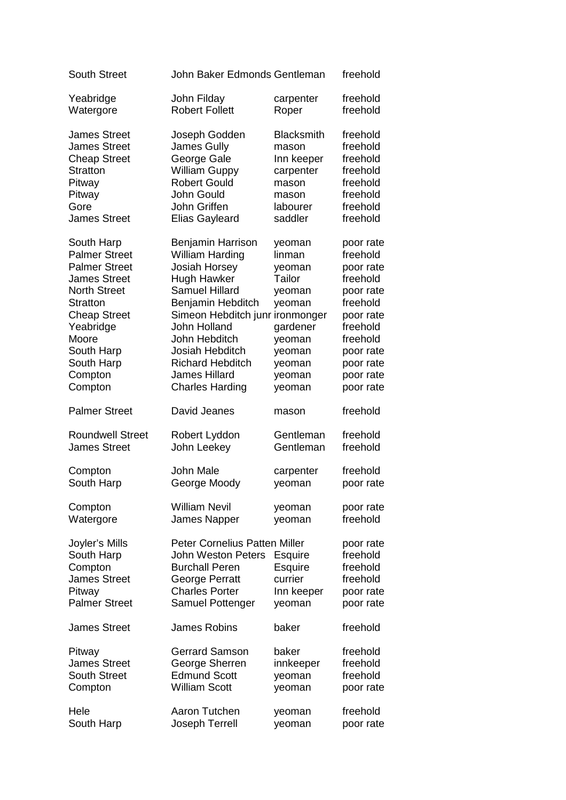| <b>South Street</b>                                                                                                                                                                                                 | John Baker Edmonds Gentleman                                                                                                                                                                                                                                                                         |                                                                                                                        | freehold                                                                                                                                                         |
|---------------------------------------------------------------------------------------------------------------------------------------------------------------------------------------------------------------------|------------------------------------------------------------------------------------------------------------------------------------------------------------------------------------------------------------------------------------------------------------------------------------------------------|------------------------------------------------------------------------------------------------------------------------|------------------------------------------------------------------------------------------------------------------------------------------------------------------|
| Yeabridge                                                                                                                                                                                                           | John Filday                                                                                                                                                                                                                                                                                          | carpenter                                                                                                              | freehold                                                                                                                                                         |
| Watergore                                                                                                                                                                                                           | <b>Robert Follett</b>                                                                                                                                                                                                                                                                                | Roper                                                                                                                  | freehold                                                                                                                                                         |
| <b>James Street</b>                                                                                                                                                                                                 | Joseph Godden                                                                                                                                                                                                                                                                                        | <b>Blacksmith</b>                                                                                                      | freehold                                                                                                                                                         |
| <b>James Street</b>                                                                                                                                                                                                 | <b>James Gully</b>                                                                                                                                                                                                                                                                                   | mason                                                                                                                  | freehold                                                                                                                                                         |
| <b>Cheap Street</b>                                                                                                                                                                                                 | George Gale                                                                                                                                                                                                                                                                                          | Inn keeper                                                                                                             | freehold                                                                                                                                                         |
| <b>Stratton</b>                                                                                                                                                                                                     | <b>William Guppy</b>                                                                                                                                                                                                                                                                                 | carpenter                                                                                                              | freehold                                                                                                                                                         |
| Pitway                                                                                                                                                                                                              | <b>Robert Gould</b>                                                                                                                                                                                                                                                                                  | mason                                                                                                                  | freehold                                                                                                                                                         |
| Pitway                                                                                                                                                                                                              | John Gould                                                                                                                                                                                                                                                                                           | mason                                                                                                                  | freehold                                                                                                                                                         |
| Gore                                                                                                                                                                                                                | John Griffen                                                                                                                                                                                                                                                                                         | labourer                                                                                                               | freehold                                                                                                                                                         |
| <b>James Street</b>                                                                                                                                                                                                 | <b>Elias Gayleard</b>                                                                                                                                                                                                                                                                                | saddler                                                                                                                | freehold                                                                                                                                                         |
| South Harp<br><b>Palmer Street</b><br><b>Palmer Street</b><br><b>James Street</b><br><b>North Street</b><br>Stratton<br><b>Cheap Street</b><br>Yeabridge<br>Moore<br>South Harp<br>South Harp<br>Compton<br>Compton | Benjamin Harrison<br><b>William Harding</b><br><b>Josiah Horsey</b><br><b>Hugh Hawker</b><br><b>Samuel Hillard</b><br>Benjamin Hebditch<br>Simeon Hebditch junr ironmonger<br>John Holland<br>John Hebditch<br>Josiah Hebditch<br><b>Richard Hebditch</b><br>James Hillard<br><b>Charles Harding</b> | yeoman<br>linman<br>yeoman<br>Tailor<br>yeoman<br>yeoman<br>gardener<br>yeoman<br>yeoman<br>yeoman<br>yeoman<br>yeoman | poor rate<br>freehold<br>poor rate<br>freehold<br>poor rate<br>freehold<br>poor rate<br>freehold<br>freehold<br>poor rate<br>poor rate<br>poor rate<br>poor rate |
|                                                                                                                                                                                                                     |                                                                                                                                                                                                                                                                                                      |                                                                                                                        |                                                                                                                                                                  |
| <b>Palmer Street</b>                                                                                                                                                                                                | David Jeanes                                                                                                                                                                                                                                                                                         | mason                                                                                                                  | freehold                                                                                                                                                         |
| <b>Roundwell Street</b>                                                                                                                                                                                             | Robert Lyddon                                                                                                                                                                                                                                                                                        | Gentleman                                                                                                              | freehold                                                                                                                                                         |
| <b>James Street</b>                                                                                                                                                                                                 | John Leekey                                                                                                                                                                                                                                                                                          | Gentleman                                                                                                              | freehold                                                                                                                                                         |
| Compton                                                                                                                                                                                                             | John Male                                                                                                                                                                                                                                                                                            | carpenter                                                                                                              | freehold                                                                                                                                                         |
| South Harp                                                                                                                                                                                                          | George Moody                                                                                                                                                                                                                                                                                         | yeoman                                                                                                                 | poor rate                                                                                                                                                        |
| Compton                                                                                                                                                                                                             | <b>William Nevil</b>                                                                                                                                                                                                                                                                                 | yeoman                                                                                                                 | poor rate                                                                                                                                                        |
| Watergore                                                                                                                                                                                                           | James Napper                                                                                                                                                                                                                                                                                         | yeoman                                                                                                                 | freehold                                                                                                                                                         |
| Joyler's Mills<br>South Harp<br>Compton<br><b>James Street</b><br>Pitway<br><b>Palmer Street</b>                                                                                                                    | <b>Peter Cornelius Patten Miller</b><br>John Weston Peters<br><b>Burchall Peren</b><br><b>George Perratt</b><br><b>Charles Porter</b><br>Samuel Pottenger                                                                                                                                            | <b>Esquire</b><br><b>Esquire</b><br>currier<br>Inn keeper<br>yeoman                                                    | poor rate<br>freehold<br>freehold<br>freehold<br>poor rate<br>poor rate                                                                                          |
| <b>James Street</b>                                                                                                                                                                                                 | <b>James Robins</b>                                                                                                                                                                                                                                                                                  | baker                                                                                                                  | freehold                                                                                                                                                         |
| Pitway                                                                                                                                                                                                              | <b>Gerrard Samson</b>                                                                                                                                                                                                                                                                                | baker                                                                                                                  | freehold                                                                                                                                                         |
| <b>James Street</b>                                                                                                                                                                                                 | George Sherren                                                                                                                                                                                                                                                                                       | innkeeper                                                                                                              | freehold                                                                                                                                                         |
| <b>South Street</b>                                                                                                                                                                                                 | <b>Edmund Scott</b>                                                                                                                                                                                                                                                                                  | yeoman                                                                                                                 | freehold                                                                                                                                                         |
| Compton                                                                                                                                                                                                             | <b>William Scott</b>                                                                                                                                                                                                                                                                                 | yeoman                                                                                                                 | poor rate                                                                                                                                                        |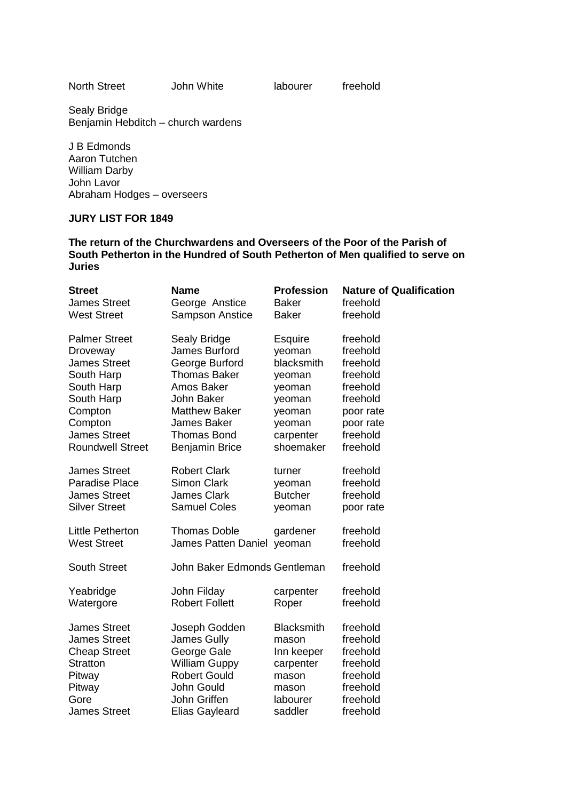North Street **John White labourer** freehold

Sealy Bridge Benjamin Hebditch – church wardens

J B Edmonds Aaron Tutchen William Darby John Lavor Abraham Hodges – overseers

### **JURY LIST FOR 1849**

**The return of the Churchwardens and Overseers of the Poor of the Parish of South Petherton in the Hundred of South Petherton of Men qualified to serve on Juries** 

| <b>Street</b>           | <b>Name</b>                  | <b>Profession</b> | <b>Nature of Qualification</b> |
|-------------------------|------------------------------|-------------------|--------------------------------|
| <b>James Street</b>     | George Anstice               | <b>Baker</b>      | freehold                       |
| <b>West Street</b>      | <b>Sampson Anstice</b>       | <b>Baker</b>      | freehold                       |
| <b>Palmer Street</b>    | Sealy Bridge                 | <b>Esquire</b>    | freehold                       |
| Droveway                | James Burford                | yeoman            | freehold                       |
| <b>James Street</b>     | George Burford               | blacksmith        | freehold                       |
| South Harp              | <b>Thomas Baker</b>          | yeoman            | freehold                       |
| South Harp              | Amos Baker                   | yeoman            | freehold                       |
| South Harp              | John Baker                   | yeoman            | freehold                       |
| Compton                 | <b>Matthew Baker</b>         | yeoman            | poor rate                      |
| Compton                 | James Baker                  | yeoman            | poor rate                      |
| <b>James Street</b>     | <b>Thomas Bond</b>           | carpenter         | freehold                       |
| <b>Roundwell Street</b> | <b>Benjamin Brice</b>        | shoemaker         | freehold                       |
| <b>James Street</b>     | <b>Robert Clark</b>          | turner            | freehold                       |
| <b>Paradise Place</b>   | <b>Simon Clark</b>           | yeoman            | freehold                       |
| <b>James Street</b>     | <b>James Clark</b>           | <b>Butcher</b>    | freehold                       |
| <b>Silver Street</b>    | <b>Samuel Coles</b>          | yeoman            | poor rate                      |
| <b>Little Petherton</b> | <b>Thomas Doble</b>          | gardener          | freehold                       |
| <b>West Street</b>      | James Patten Daniel yeoman   |                   | freehold                       |
| <b>South Street</b>     | John Baker Edmonds Gentleman |                   | freehold                       |
| Yeabridge               | John Filday                  | carpenter         | freehold                       |
| Watergore               | <b>Robert Follett</b>        | Roper             | freehold                       |
| <b>James Street</b>     | Joseph Godden                | <b>Blacksmith</b> | freehold                       |
| <b>James Street</b>     | James Gully                  | mason             | freehold                       |
| <b>Cheap Street</b>     | George Gale                  | Inn keeper        | freehold                       |
| <b>Stratton</b>         | <b>William Guppy</b>         | carpenter         | freehold                       |
| Pitway                  | <b>Robert Gould</b>          | mason             | freehold                       |
| Pitway                  | John Gould                   | mason             | freehold                       |
| Gore                    | John Griffen                 | labourer          | freehold                       |
| <b>James Street</b>     | <b>Elias Gayleard</b>        | saddler           | freehold                       |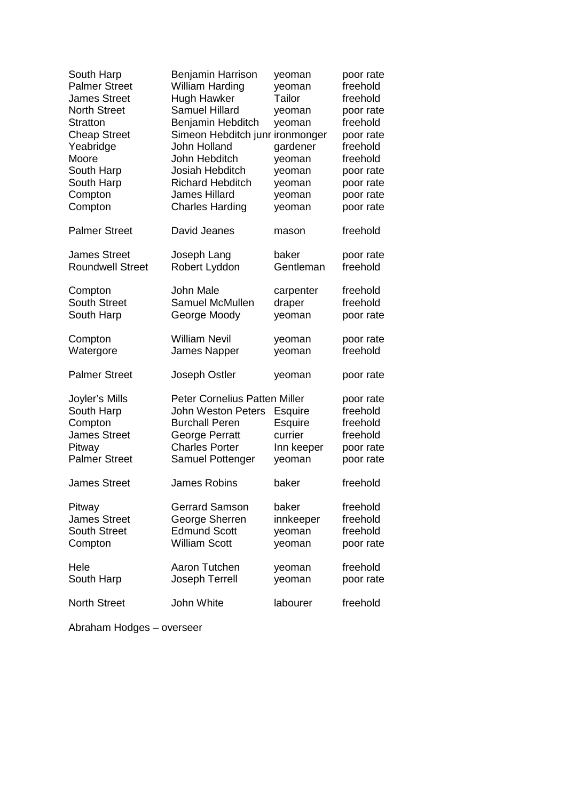| South Harp                                                                                       | Benjamin Harrison                                                                                                                                         | yeoman                                                | poor rate                                                               |
|--------------------------------------------------------------------------------------------------|-----------------------------------------------------------------------------------------------------------------------------------------------------------|-------------------------------------------------------|-------------------------------------------------------------------------|
| <b>Palmer Street</b>                                                                             | <b>William Harding</b>                                                                                                                                    | yeoman                                                | freehold                                                                |
| <b>James Street</b>                                                                              | <b>Hugh Hawker</b>                                                                                                                                        | Tailor                                                | freehold                                                                |
| <b>North Street</b>                                                                              | <b>Samuel Hillard</b>                                                                                                                                     | yeoman                                                | poor rate                                                               |
| <b>Stratton</b>                                                                                  | Benjamin Hebditch                                                                                                                                         | yeoman                                                | freehold                                                                |
| <b>Cheap Street</b>                                                                              | Simeon Hebditch junr                                                                                                                                      | ironmonger                                            | poor rate                                                               |
| Yeabridge                                                                                        | John Holland                                                                                                                                              | gardener                                              | freehold                                                                |
| Moore                                                                                            | John Hebditch                                                                                                                                             | yeoman                                                | freehold                                                                |
| South Harp                                                                                       | Josiah Hebditch                                                                                                                                           | yeoman                                                | poor rate                                                               |
| South Harp                                                                                       | <b>Richard Hebditch</b>                                                                                                                                   | yeoman                                                | poor rate                                                               |
| Compton                                                                                          | James Hillard                                                                                                                                             | yeoman                                                | poor rate                                                               |
| Compton                                                                                          | <b>Charles Harding</b>                                                                                                                                    | yeoman                                                | poor rate                                                               |
| <b>Palmer Street</b>                                                                             | David Jeanes                                                                                                                                              | mason                                                 | freehold                                                                |
| <b>James Street</b>                                                                              | Joseph Lang                                                                                                                                               | baker                                                 | poor rate                                                               |
| <b>Roundwell Street</b>                                                                          | Robert Lyddon                                                                                                                                             | Gentleman                                             | freehold                                                                |
| Compton                                                                                          | John Male                                                                                                                                                 | carpenter                                             | freehold                                                                |
| <b>South Street</b>                                                                              | Samuel McMullen                                                                                                                                           | draper                                                | freehold                                                                |
| South Harp                                                                                       | George Moody                                                                                                                                              | yeoman                                                | poor rate                                                               |
| Compton                                                                                          | <b>William Nevil</b>                                                                                                                                      | yeoman                                                | poor rate                                                               |
| Watergore                                                                                        | <b>James Napper</b>                                                                                                                                       | yeoman                                                | freehold                                                                |
| <b>Palmer Street</b>                                                                             | Joseph Ostler                                                                                                                                             | yeoman                                                | poor rate                                                               |
| Joyler's Mills<br>South Harp<br>Compton<br><b>James Street</b><br>Pitway<br><b>Palmer Street</b> | <b>Peter Cornelius Patten Miller</b><br><b>John Weston Peters</b><br><b>Burchall Peren</b><br>George Perratt<br><b>Charles Porter</b><br>Samuel Pottenger | Esquire<br>Esquire<br>currier<br>Inn keeper<br>yeoman | poor rate<br>freehold<br>freehold<br>freehold<br>poor rate<br>poor rate |
| James Street                                                                                     | James Robins                                                                                                                                              | baker                                                 | freehold                                                                |
| Pitway                                                                                           | <b>Gerrard Samson</b>                                                                                                                                     | baker                                                 | freehold                                                                |
| <b>James Street</b>                                                                              | George Sherren                                                                                                                                            | innkeeper                                             | freehold                                                                |
| <b>South Street</b>                                                                              | <b>Edmund Scott</b>                                                                                                                                       | yeoman                                                | freehold                                                                |
| Compton                                                                                          | <b>William Scott</b>                                                                                                                                      | yeoman                                                | poor rate                                                               |
| Hele                                                                                             | Aaron Tutchen                                                                                                                                             | yeoman                                                | freehold                                                                |
| South Harp                                                                                       | Joseph Terrell                                                                                                                                            | yeoman                                                | poor rate                                                               |
| <b>North Street</b>                                                                              | John White                                                                                                                                                | labourer                                              | freehold                                                                |

Abraham Hodges – overseer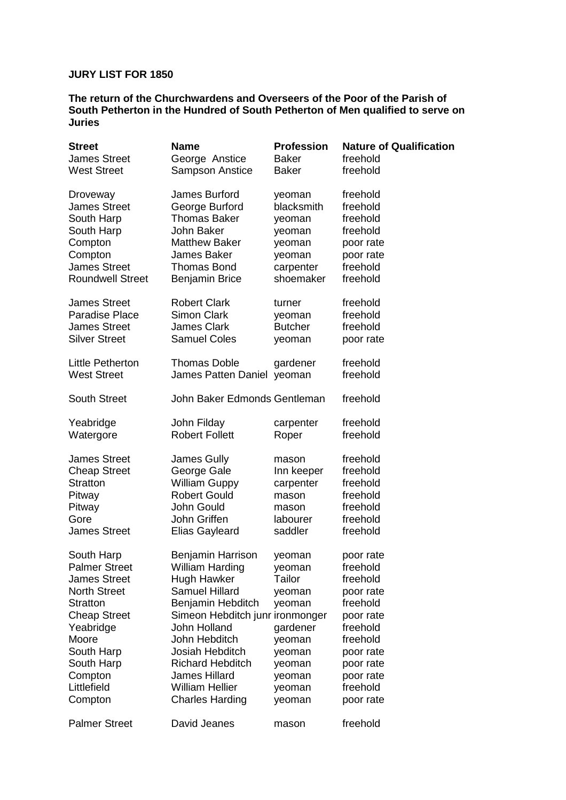## **JURY LIST FOR 1850**

**The return of the Churchwardens and Overseers of the Poor of the Parish of South Petherton in the Hundred of South Petherton of Men qualified to serve on Juries** 

| <b>Street</b>           | <b>Name</b>                     | <b>Profession</b> | <b>Nature of Qualification</b> |
|-------------------------|---------------------------------|-------------------|--------------------------------|
| <b>James Street</b>     | George Anstice                  | <b>Baker</b>      | freehold                       |
| <b>West Street</b>      | <b>Sampson Anstice</b>          | <b>Baker</b>      | freehold                       |
| Droveway                | James Burford                   | yeoman            | freehold                       |
| <b>James Street</b>     | George Burford                  | blacksmith        | freehold                       |
| South Harp              | Thomas Baker                    | yeoman            | freehold                       |
| South Harp              | John Baker                      | yeoman            | freehold                       |
| Compton                 | <b>Matthew Baker</b>            | yeoman            | poor rate                      |
| Compton                 | James Baker                     | yeoman            | poor rate                      |
| <b>James Street</b>     | <b>Thomas Bond</b>              | carpenter         | freehold                       |
| <b>Roundwell Street</b> | <b>Benjamin Brice</b>           | shoemaker         | freehold                       |
| <b>James Street</b>     | <b>Robert Clark</b>             | turner            | freehold                       |
| <b>Paradise Place</b>   | <b>Simon Clark</b>              | yeoman            | freehold                       |
| <b>James Street</b>     | <b>James Clark</b>              | <b>Butcher</b>    | freehold                       |
| <b>Silver Street</b>    | <b>Samuel Coles</b>             | yeoman            | poor rate                      |
| Little Petherton        | <b>Thomas Doble</b>             | gardener          | freehold                       |
| <b>West Street</b>      | James Patten Daniel yeoman      |                   | freehold                       |
| <b>South Street</b>     | John Baker Edmonds Gentleman    |                   | freehold                       |
| Yeabridge               | John Filday                     | carpenter         | freehold                       |
| Watergore               | <b>Robert Follett</b>           | Roper             | freehold                       |
| <b>James Street</b>     | James Gully                     | mason             | freehold                       |
| <b>Cheap Street</b>     | George Gale                     | Inn keeper        | freehold                       |
| <b>Stratton</b>         | <b>William Guppy</b>            | carpenter         | freehold                       |
| Pitway                  | <b>Robert Gould</b>             | mason             | freehold                       |
| Pitway                  | John Gould                      | mason             | freehold                       |
| Gore                    | John Griffen                    | labourer          | freehold                       |
| <b>James Street</b>     | <b>Elias Gayleard</b>           | saddler           | freehold                       |
| South Harp              | Benjamin Harrison               | yeoman            | poor rate                      |
| <b>Palmer Street</b>    | <b>William Harding</b>          | yeoman            | freehold                       |
| <b>James Street</b>     | Hugh Hawker                     | Tailor            | freehold                       |
| <b>North Street</b>     | <b>Samuel Hillard</b>           | yeoman            | poor rate                      |
| <b>Stratton</b>         | Benjamin Hebditch               | yeoman            | freehold                       |
| <b>Cheap Street</b>     | Simeon Hebditch junr ironmonger |                   | poor rate                      |
| Yeabridge               | John Holland                    | gardener          | freehold                       |
| Moore                   | John Hebditch                   | yeoman            | freehold                       |
| South Harp              | Josiah Hebditch                 | yeoman            | poor rate                      |
| South Harp              | <b>Richard Hebditch</b>         | yeoman            | poor rate                      |
| Compton                 | <b>James Hillard</b>            | yeoman            | poor rate                      |
| Littlefield             | <b>William Hellier</b>          | yeoman            | freehold                       |
| Compton                 | <b>Charles Harding</b>          | yeoman            | poor rate                      |
| <b>Palmer Street</b>    | David Jeanes                    | mason             | freehold                       |